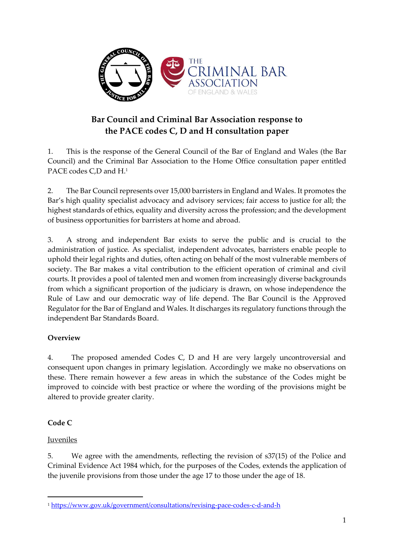

# **Bar Council and Criminal Bar Association response to the PACE codes C, D and H consultation paper**

1. This is the response of the General Council of the Bar of England and Wales (the Bar Council) and the Criminal Bar Association to the Home Office consultation paper entitled PACE codes C,D and H. 1

2. The Bar Council represents over 15,000 barristers in England and Wales. It promotes the Bar's high quality specialist advocacy and advisory services; fair access to justice for all; the highest standards of ethics, equality and diversity across the profession; and the development of business opportunities for barristers at home and abroad.

3. A strong and independent Bar exists to serve the public and is crucial to the administration of justice. As specialist, independent advocates, barristers enable people to uphold their legal rights and duties, often acting on behalf of the most vulnerable members of society. The Bar makes a vital contribution to the efficient operation of criminal and civil courts. It provides a pool of talented men and women from increasingly diverse backgrounds from which a significant proportion of the judiciary is drawn, on whose independence the Rule of Law and our democratic way of life depend. The Bar Council is the Approved Regulator for the Bar of England and Wales. It discharges its regulatory functions through the independent Bar Standards Board.

#### **Overview**

4. The proposed amended Codes C, D and H are very largely uncontroversial and consequent upon changes in primary legislation. Accordingly we make no observations on these. There remain however a few areas in which the substance of the Codes might be improved to coincide with best practice or where the wording of the provisions might be altered to provide greater clarity.

# **Code C**

#### Juveniles

 $\overline{a}$ 

5. We agree with the amendments, reflecting the revision of s37(15) of the Police and Criminal Evidence Act 1984 which, for the purposes of the Codes, extends the application of the juvenile provisions from those under the age 17 to those under the age of 18.

<sup>1</sup> <https://www.gov.uk/government/consultations/revising-pace-codes-c-d-and-h>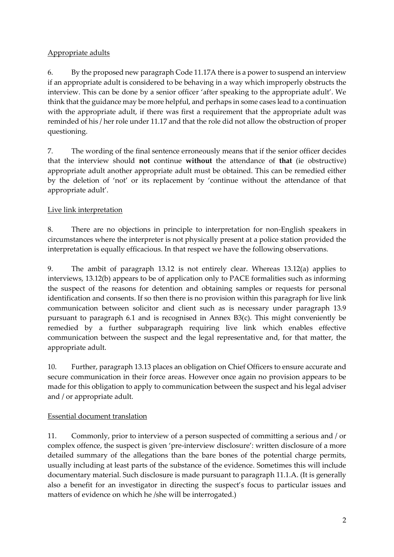#### Appropriate adults

6. By the proposed new paragraph Code 11.17A there is a power to suspend an interview if an appropriate adult is considered to be behaving in a way which improperly obstructs the interview. This can be done by a senior officer 'after speaking to the appropriate adult'. We think that the guidance may be more helpful, and perhaps in some cases lead to a continuation with the appropriate adult, if there was first a requirement that the appropriate adult was reminded of his / her role under 11.17 and that the role did not allow the obstruction of proper questioning.

7. The wording of the final sentence erroneously means that if the senior officer decides that the interview should **not** continue **without** the attendance of **that** (ie obstructive) appropriate adult another appropriate adult must be obtained. This can be remedied either by the deletion of 'not' or its replacement by 'continue without the attendance of that appropriate adult'.

# Live link interpretation

8. There are no objections in principle to interpretation for non-English speakers in circumstances where the interpreter is not physically present at a police station provided the interpretation is equally efficacious. In that respect we have the following observations.

9. The ambit of paragraph 13.12 is not entirely clear. Whereas 13.12(a) applies to interviews, 13.12(b) appears to be of application only to PACE formalities such as informing the suspect of the reasons for detention and obtaining samples or requests for personal identification and consents. If so then there is no provision within this paragraph for live link communication between solicitor and client such as is necessary under paragraph 13.9 pursuant to paragraph 6.1 and is recognised in Annex B3(c). This might conveniently be remedied by a further subparagraph requiring live link which enables effective communication between the suspect and the legal representative and, for that matter, the appropriate adult.

10. Further, paragraph 13.13 places an obligation on Chief Officers to ensure accurate and secure communication in their force areas. However once again no provision appears to be made for this obligation to apply to communication between the suspect and his legal adviser and / or appropriate adult.

#### Essential document translation

11. Commonly, prior to interview of a person suspected of committing a serious and / or complex offence, the suspect is given 'pre-interview disclosure': written disclosure of a more detailed summary of the allegations than the bare bones of the potential charge permits, usually including at least parts of the substance of the evidence. Sometimes this will include documentary material. Such disclosure is made pursuant to paragraph 11.1.A. (It is generally also a benefit for an investigator in directing the suspect's focus to particular issues and matters of evidence on which he /she will be interrogated.)